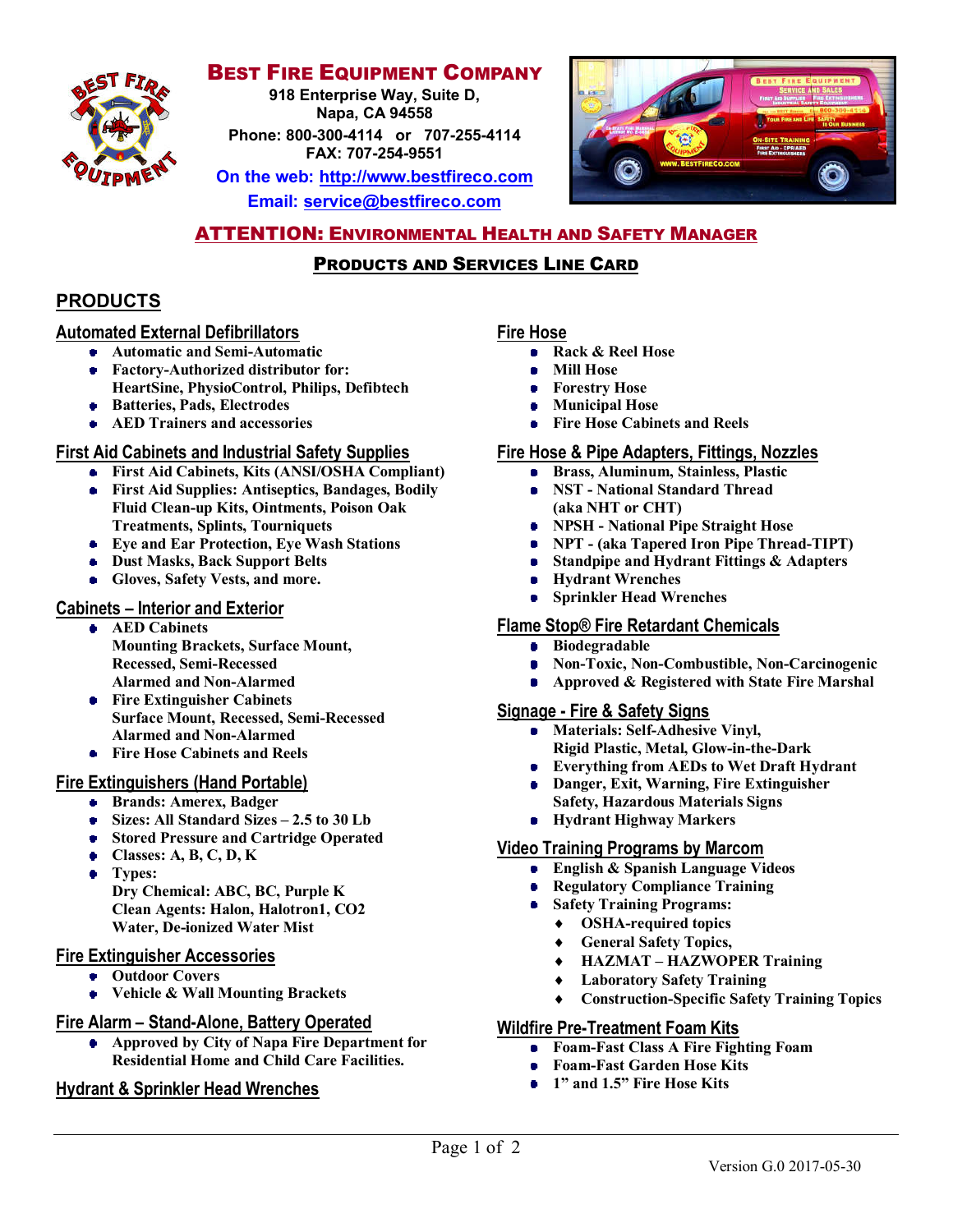

## **BEST FIRE EQUIPMENT COMPANY**

**918 Enterprise Way, Suite D, Napa, CA 94558**

**Phone: 800-300-4114 or 707-255-4114 FAX: 707-254-9551**

**On the web: http://www.bestfireco.com Email: service@bestfireco.com**



# **ATTENTION: ENVIRONMENTAL HEALTH AND SAFETY MANAGER**

# PRODUCTS AND SERVICES LINE CARD

# **PRODUCTS**

#### **Automated External Defibrillators**

- **Automatic and Semi-Automatic**
- **Factory-Authorized distributor for:**
	- **HeartSine, PhysioControl, Philips, Defibtech**
- **Batteries, Pads, Electrodes**
- **AED Trainers and accessories**

#### **First Aid Cabinets and Industrial Safety Supplies**

- **First Aid Cabinets, Kits (ANSI/OSHA Compliant)**
- **First Aid Supplies: Antiseptics, Bandages, Bodily Fluid Clean-up Kits, Ointments, Poison Oak Treatments, Splints, Tourniquets**
- **Eye and Ear Protection, Eye Wash Stations**
- **Dust Masks, Back Support Belts**
- **Gloves, Safety Vests, and more.**

#### **Cabinets – Interior and Exterior**

- **AED Cabinets Mounting Brackets, Surface Mount, Recessed, Semi-Recessed Alarmed and Non-Alarmed**
- **Fire Extinguisher Cabinets Surface Mount, Recessed, Semi-Recessed Alarmed and Non-Alarmed**
- **Fire Hose Cabinets and Reels**

### **Fire Extinguishers (Hand Portable)**

- **Brands: Amerex, Badger**
- **Sizes: All Standard Sizes 2.5 to 30 Lb**
- **Stored Pressure and Cartridge Operated**
- **Classes: A, B, C, D, K**
- **Types: Dry Chemical: ABC, BC, Purple K Clean Agents: Halon, Halotron1, CO2**
- **Water, De-ionized Water Mist**

#### **Fire Extinguisher Accessories**

- **Outdoor Covers**
- **Vehicle & Wall Mounting Brackets**

#### **Fire Alarm – Stand-Alone, Battery Operated**

 $\bullet$ **Approved by City of Napa Fire Department for Residential Home and Child Care Facilities.**

### **Hydrant & Sprinkler Head Wrenches**

#### **Fire Hose**

- **Rack & Reel Hose**
- **Mill Hose**
- **Forestry Hose**  $\bullet$
- **Municipal Hose**  $\bullet$
- **Fire Hose Cabinets and Reels**

#### **Fire Hose & Pipe Adapters, Fittings, Nozzles**

- **Brass, Aluminum, Stainless, Plastic**
- **NST - National Standard Thread (aka NHT or CHT)**
- **NPSH - National Pipe Straight Hose**
- **NPT - (aka Tapered Iron Pipe Thread-TIPT)**
- **Standpipe and Hydrant Fittings & Adapters**
- **Hydrant Wrenches**
- **Sprinkler Head Wrenches**

#### **Flame Stop® Fire Retardant Chemicals**

- **Biodegradable**
- **Non-Toxic, Non-Combustible, Non-Carcinogenic**
- **Approved & Registered with State Fire Marshal**

#### **Signage - Fire & Safety Signs**

- **Materials: Self-Adhesive Vinyl, Rigid Plastic, Metal, Glow-in-the-Dark**
- **Everything from AEDs to Wet Draft Hydrant**
- **Danger, Exit, Warning, Fire Extinguisher Safety, Hazardous Materials Signs**
- **Hydrant Highway Markers**

#### **Video Training Programs by Marcom**

- **English & Spanish Language Videos**
- **Regulatory Compliance Training**
- **Safety Training Programs:**
	- **OSHA-required topics**
	- **General Safety Topics,**
	- **HAZMAT – HAZWOPER Training**
	- **Laboratory Safety Training**
	- **Construction-Specific Safety Training Topics**

#### **Wildfire Pre-Treatment Foam Kits**

- **Foam-Fast Class A Fire Fighting Foam**
- **Foam-Fast Garden Hose Kits**
- **1" and 1.5" Fire Hose Kits**